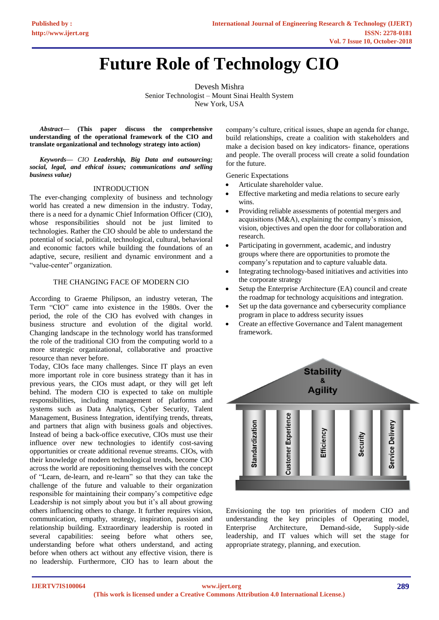# **[Future Role of Technology CIO](https://www.ijert.org/cfp)**

Devesh Mishra Senior Technologist – Mount Sinai Health System New York, USA

*Abstract***— (This paper discuss the comprehensive understanding of the operational framework of the CIO and translate organizational and technology strategy into action)**

*Keywords— CIO Leadership, Big Data and outsourcing; social, legal, and ethical issues; communications and selling business value)*

### INTRODUCTION

The ever-changing complexity of business and technology world has created a new dimension in the industry. Today, there is a need for a dynamic Chief Information Officer (CIO), whose responsibilities should not be just limited to technologies. Rather the CIO should be able to understand the potential of social, political, technological, cultural, behavioral and economic factors while building the foundations of an adaptive, secure, resilient and dynamic environment and a "value-center" organization.

### THE CHANGING FACE OF MODERN CIO

According to Graeme Philipson, an industry veteran, The Term "CIO" came into existence in the 1980s. Over the period, the role of the CIO has evolved with changes in business structure and evolution of the digital world. Changing landscape in the technology world has transformed the role of the traditional CIO from the computing world to a more strategic organizational, collaborative and proactive resource than never before.

Today, CIOs face many challenges. Since IT plays an even more important role in core business strategy than it has in previous years, the CIOs must adapt, or they will get left behind. The modern CIO is expected to take on multiple responsibilities, including management of platforms and systems such as Data Analytics, Cyber Security, Talent Management, Business Integration, identifying trends, threats, and partners that align with business goals and objectives. Instead of being a back-office executive, CIOs must use their influence over new technologies to identify cost-saving opportunities or create additional revenue streams. CIOs, with their knowledge of modern technological trends, become CIO across the world are repositioning themselves with the concept of "Learn, de-learn, and re-learn" so that they can take the challenge of the future and valuable to their organization responsible for maintaining their company's competitive edge Leadership is not simply about you but it's all about growing others influencing others to change. It further requires vision, communication, empathy, strategy, inspiration, passion and relationship building. Extraordinary leadership is rooted in several capabilities: seeing before what others see, understanding before what others understand, and acting before when others act without any effective vision, there is no leadership. Furthermore, CIO has to learn about the

company's culture, critical issues, shape an agenda for change, build relationships, create a coalition with stakeholders and make a decision based on key indicators- finance, operations and people. The overall process will create a solid foundation for the future.

Generic Expectations

- Articulate shareholder value.
- Effective marketing and media relations to secure early wins.
- Providing reliable assessments of potential mergers and acquisitions (M&A), explaining the company's mission, vision, objectives and open the door for collaboration and research.
- Participating in government, academic, and industry groups where there are opportunities to promote the company's reputation and to capture valuable data.
- Integrating technology-based initiatives and activities into the corporate strategy
- Setup the Enterprise Architecture (EA) council and create the roadmap for technology acquisitions and integration.
- Set up the data governance and cybersecurity compliance program in place to address security issues
- Create an effective Governance and Talent management framework.



Envisioning the top ten priorities of modern CIO and understanding the key principles of Operating model, Enterprise Architecture, Demand-side, Supply-side leadership, and IT values which will set the stage for appropriate strategy, planning, and execution.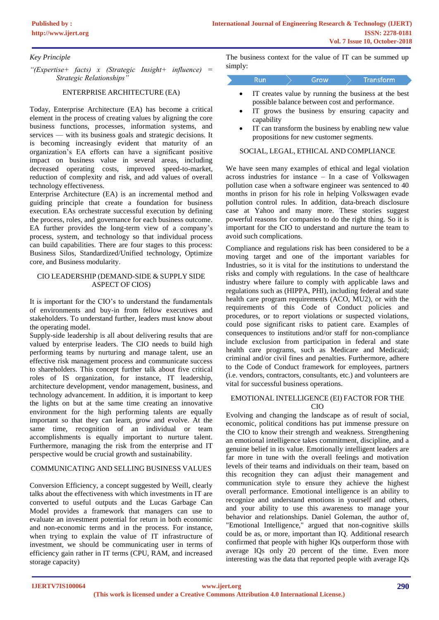# *Key Principle*

*"(Expertise+ facts) x (Strategic Insight+ influence) = Strategic Relationships"*

## ENTERPRISE ARCHITECTURE (EA)

Today, Enterprise Architecture (EA) has become a critical element in the process of creating values by aligning the core business functions, processes, information systems, and services — with its business goals and strategic decisions. It is becoming increasingly evident that maturity of an organization's EA efforts can have a significant positive impact on business value in several areas, including decreased operating costs, improved speed-to-market, reduction of complexity and risk, and add values of overall technology effectiveness.

Enterprise Architecture (EA) is an incremental method and guiding principle that create a foundation for business execution. EAs orchestrate successful execution by defining the process, roles, and governance for each business outcome. EA further provides the long-term view of a company's process, system, and technology so that individual process can build capabilities. There are four stages to this process: Business Silos, Standardized/Unified technology, Optimize core, and Business modularity.

#### CIO LEADERSHIP (DEMAND-SIDE & SUPPLY SIDE ASPECT OF CIOS)

It is important for the CIO's to understand the fundamentals of environments and buy-in from fellow executives and stakeholders. To understand further, leaders must know about the operating model.

Supply-side leadership is all about delivering results that are valued by enterprise leaders. The CIO needs to build high performing teams by nurturing and manage talent, use an effective risk management process and communicate success to shareholders. This concept further talk about five critical roles of IS organization, for instance, IT leadership, architecture development, vendor management, business, and technology advancement. In addition, it is important to keep the lights on but at the same time creating an innovative environment for the high performing talents are equally important so that they can learn, grow and evolve. At the same time, recognition of an individual or team accomplishments is equally important to nurture talent. Furthermore, managing the risk from the enterprise and IT perspective would be crucial growth and sustainability.

### COMMUNICATING AND SELLING BUSINESS VALUES

Conversion Efficiency, a concept suggested by Weill, clearly talks about the effectiveness with which investments in IT are converted to useful outputs and the Lucas Garbage Can Model provides a framework that managers can use to evaluate an investment potential for return in both economic and non-economic terms and in the process. For instance, when trying to explain the value of IT infrastructure of investment, we should be communicating user in terms of efficiency gain rather in IT terms (CPU, RAM, and increased storage capacity)

The business context for the value of IT can be summed up simply:

|  | row | Transform |
|--|-----|-----------|
|  |     |           |

- IT creates value by running the business at the best possible balance between cost and performance.
- IT grows the business by ensuring capacity and capability
- IT can transform the business by enabling new value propositions for new customer segments.

#### SOCIAL, LEGAL, ETHICAL AND COMPLIANCE

We have seen many examples of ethical and legal violation across industries for instance – In a case of Volkswagen pollution case when a software engineer was sentenced to 40 months in prison for his role in helping Volkswagen evade pollution control rules. In addition, data-breach disclosure case at Yahoo and many more. These stories suggest powerful reasons for companies to do the right thing. So it is important for the CIO to understand and nurture the team to avoid such complications.

Compliance and regulations risk has been considered to be a moving target and one of the important variables for Industries, so it is vital for the institutions to understand the risks and comply with regulations. In the case of healthcare industry where failure to comply with applicable laws and regulations such as (HIPPA, PHI), including federal and state health care program requirements (ACO, MU2), or with the requirements of this Code of Conduct policies and procedures, or to report violations or suspected violations, could pose significant risks to patient care. Examples of consequences to institutions and/or staff for non-compliance include exclusion from participation in federal and state health care programs, such as Medicare and Medicaid; criminal and/or civil fines and penalties. Furthermore, adhere to the Code of Conduct framework for employees, partners (i.e. vendors, contractors, consultants, etc.) and volunteers are vital for successful business operations.

#### EMOTIONAL INTELLIGENCE (EI) FACTOR FOR THE CIO

Evolving and changing the landscape as of result of social, economic, political conditions has put immense pressure on the CIO to know their strength and weakness. Strengthening an emotional intelligence takes commitment, discipline, and a genuine belief in its value. Emotionally intelligent leaders are far more in tune with the overall feelings and motivation levels of their teams and individuals on their team, based on this recognition they can adjust their management and communication style to ensure they achieve the highest overall performance. Emotional intelligence is an ability to recognize and understand emotions in yourself and others, and your ability to use this awareness to manage your behavior and relationships. Daniel Goleman, the author of, "Emotional Intelligence," argued that non-cognitive skills could be as, or more, important than IQ. Additional research confirmed that people with higher IQs outperform those with average IQs only 20 percent of the time. Even more interesting was the data that reported people with average IQs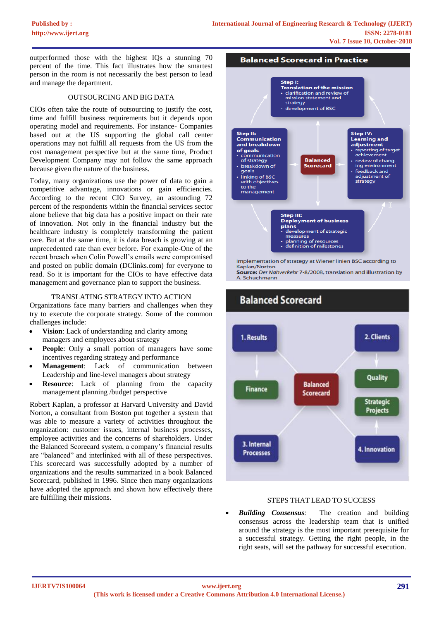outperformed those with the highest IQs a stunning 70 percent of the time. This fact illustrates how the smartest person in the room is not necessarily the best person to lead and manage the department.

#### OUTSOURCING AND BIG DATA

CIOs often take the route of outsourcing to justify the cost, time and fulfill business requirements but it depends upon operating model and requirements. For instance- Companies based out at the US supporting the global call center operations may not fulfill all requests from the US from the cost management perspective but at the same time, Product Development Company may not follow the same approach because given the nature of the business.

Today, many organizations use the power of data to gain a competitive advantage, innovations or gain efficiencies. According to the recent CIO Survey, an astounding 72 percent of the respondents within the financial services sector alone believe that big data has a positive impact on their rate of innovation. Not only in the financial industry but the healthcare industry is completely transforming the patient care. But at the same time, it is data breach is growing at an unprecedented rate than ever before. For example-One of the recent breach when Colin Powell's emails were compromised and posted on public domain (DClinks.com) for everyone to read. So it is important for the CIOs to have effective data management and governance plan to support the business.

#### TRANSLATING STRATEGY INTO ACTION

Organizations face many barriers and challenges when they try to execute the corporate strategy. Some of the common challenges include:

- **Vision**: Lack of understanding and clarity among managers and employees about strategy
- **People**: Only a small portion of managers have some incentives regarding strategy and performance
- **Management:** Lack of communication between Leadership and line-level managers about strategy
- **Resource:** Lack of planning from the capacity management planning /budget perspective

Robert Kaplan, a professor at Harvard University and David Norton, a consultant from Boston put together a system that was able to measure a variety of activities throughout the organization: customer issues, internal business processes, employee activities and the concerns of shareholders. Under the Balanced Scorecard system, a company's financial results are "balanced" and interlinked with all of these perspectives. This scorecard was successfully adopted by a number of organizations and the results summarized in a book Balanced Scorecard, published in 1996. Since then many organizations have adopted the approach and shown how effectively there [are fulfilling their missions. STEPS](https://www.ijert.org/cfp) THAT LEAD TO SUCCESS



Kaplan/Norton Source: Der Nahverkehr 7-8/2008, translation and illustration by

A. Schuchmann



• *Building Consensus:* The creation and building consensus across the leadership team that is unified around the strategy is the most important prerequisite for a successful strategy. Getting the right people, in the right seats, will set the pathway for successful execution.

#### **IJERTV7IS100064**